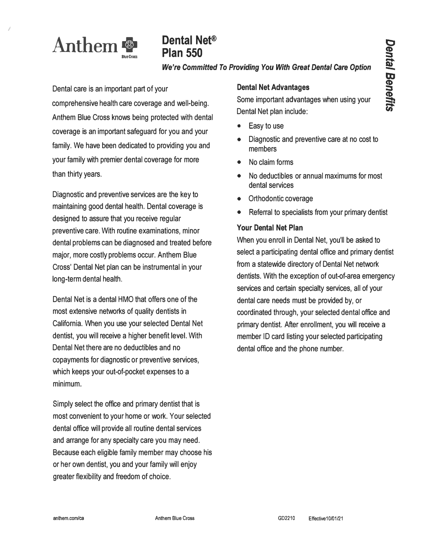

*I* 

# **Dental Net® Plan 550**

### *We're Committed To Providing You With Great Dental Care Option*

Dental care is an important part of your comprehensive health care coverage and well-being. Anthem Blue Cross knows being protected with dental coverage is an important safeguard for you and your family. We have been dedicated to providing you and your family with premier dental coverage for more than thirty years.

Diagnostic and preventive services are the key to maintaining good dental health. Dental coverage is designed to assure that you receive regular preventive care. With routine examinations, minor dental problems can be diagnosed and treated before major, more costly problems occur. Anthem Blue Cross' Dental Net plan can be instrumental in your long-term dental health.

Dental Net is a dental HMO that offers one of the most extensive networks of quality dentists in California. When you use your selected Dental Net dentist, you will receive a higher benefit level. With Dental Net there are no deductibles and no copayments for diagnostic or preventive services, which keeps your out-of-pocket expenses to a minimum.

Simply select the office and primary dentist that is most convenient to your home or work. Your selected dental office will provide all routine dental services and arrange for any specialty care you may need. Because each eligible family member may choose his or her own dentist, you and your family will enjoy greater flexibility and freedom of choice.

## **Dental Net Advantages**

Some important advantages when using your Dental Net plan include:

- Easy to use
- Diagnostic and preventive care at no cost to members
- No claim forms
- No deductibles or annual maximums for most dental services
- Orthodontic coverage
- Referral to specialists from your primary dentist

# **Your Dental Net Plan**

When you enroll in Dental Net, you'll be asked to select a participating dental office and primary dentist from a statewide directory of Dental Net network dentists. With the exception of out-of-area emergency services and certain specialty services, all of your dental care needs must be provided by, or coordinated through, your selected dental office and primary dentist. After enrollment, you will receive a member ID card listing your selected participating dental office and the phone number.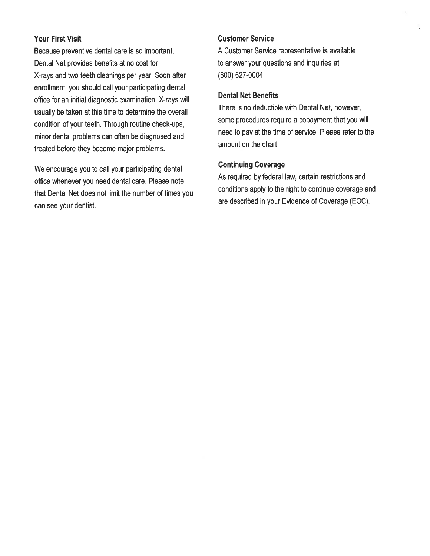### **Your First Visit**

Because preventive dental care is so important, Dental Net provides benefits at no cost for X-rays and two teeth cleanings per year. Soon after enrollment, you should call your participating dental office for an initial diagnostic examination. X-rays will usually be taken at this time to determine the overall condition of your teeth. Through routine check-ups, minor dental problems can often be diagnosed and treated before they become major problems.

We encourage you to call your participating dental office whenever you need dental care. Please note that Dental Net does not limit the number of times you can see your dentist.

### **Customer Service**

A Customer Service representative is available to answer your questions and inquiries at (800) 627-0004.

### **Dental Net Benefits**

There is no deductible with Dental Net, however, some procedures require a copayment that you will need to pay at the time of service. Please refer to the amount on the chart.

### **Continuing Coverage**

As required by federal law, certain restrictions and conditions apply to the right to continue coverage and are described in your Evidence of Coverage (EOC).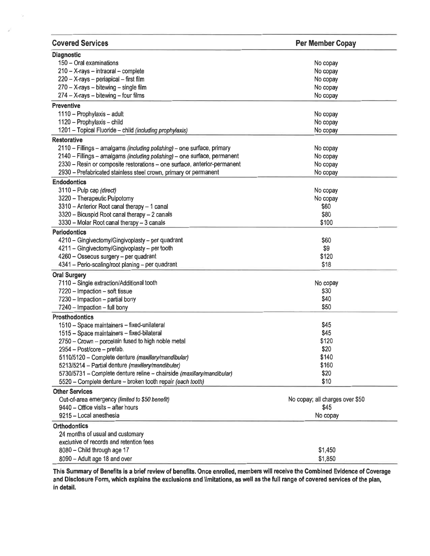| <b>Covered Services</b>                                                   | <b>Per Member Copay</b>         |
|---------------------------------------------------------------------------|---------------------------------|
| <b>Diagnostic</b>                                                         |                                 |
| 150 - Oral examinations                                                   | No copay                        |
| 210 - X-rays - intraoral - complete                                       | No copay                        |
| 220 - X-rays - periapical - first film                                    | No copay                        |
| $270 - X$ -rays - bitewing - single film                                  | No copay                        |
| $274 - X-rays - bitewing - four films$                                    | No copay                        |
| <b>Preventive</b>                                                         |                                 |
| 1110 - Prophylaxis - adult                                                | No copay                        |
| 1120 - Prophylaxis - child                                                | No copay                        |
| 1201 - Topical Fluoride - child (including prophylaxis)                   | No copay                        |
| <b>Restorative</b>                                                        |                                 |
| 2110 - Fillings - amalgams (including polishing) - one surface, primary   | No copay                        |
| 2140 - Fillings - amalgams (including polishing) - one surface, permanent | No copay                        |
| 2330 - Resin or composite restorations - one surface, anterior-permanent  | No copay                        |
| 2930 - Prefabricated stainless steel crown, primary or permanent          | No copay                        |
| <b>Endodontics</b>                                                        |                                 |
| 3110 - Pulp cap (direct)                                                  | No copay                        |
| 3220 - Therapeutic Pulpotomy                                              | No copay                        |
| 3310 - Anterior Root canal therapy - 1 canal                              | \$60                            |
| 3320 - Bicuspid Root canal therapy - 2 canals                             | \$80                            |
| 3330 - Molar Root canal therapy - 3 canals                                | \$100                           |
| <b>Periodontics</b>                                                       |                                 |
| 4210 - Gingivectomy/Gingivoplasty - per quadrant                          | \$60                            |
| 4211 - Gingivectomy/Gingivoplasty - per tooth                             | \$9                             |
| 4260 - Osseous surgery - per quadrant                                     | \$120                           |
| 4341 - Perio-scaling/root planing - per quadrant                          | \$18                            |
| <b>Oral Surgery</b>                                                       |                                 |
| 7110 - Single extraction/Additional tooth                                 | No copay                        |
| 7220 - Impaction - soft tissue                                            | \$30                            |
| 7230 - Impaction - partial bony                                           | \$40                            |
| 7240 - Impaction - full bony                                              | \$50                            |
| <b>Prosthodontics</b>                                                     |                                 |
| 1510 - Space maintainers - fixed-unilateral                               | \$45                            |
| 1515 - Space maintainers - fixed-bilateral                                | \$45                            |
| 2750 - Crown - porcelain fused to high noble metal                        | \$120                           |
| 2954 - Post/core - prefab.                                                | \$20                            |
| 5110/5120 - Complete denture (maxillary/mandibular)                       | \$140                           |
| 5213/5214 - Partial denture (maxillary/mandibular)                        | \$160                           |
| 5730/5731 - Complete denture reline - chairside (maxillary/mandibular)    | \$20                            |
| 5520 - Complete denture - broken tooth repair (each tooth)                | \$10                            |
| <b>Other Services</b>                                                     |                                 |
| Out-of-area emergency (limited to \$50 benefit)                           | No copay; all charges over \$50 |
| 9440 - Office visits - after hours                                        | \$45                            |
| 9215 - Local anesthesia                                                   | No copay                        |
| <b>Orthodontics</b>                                                       |                                 |
| 24 months of usual and customary                                          |                                 |
| exclusive of records and retention fees                                   |                                 |
| 8080 - Child through age 17                                               | \$1,450                         |
| 8090 - Adult age 18 and over                                              | \$1,850                         |

This Summary of Benefits is a brief review of benefits. Once enrolled, members will receive the Combined Evidence of Coverage<br>and Disclosure Form, which explains the exclusions and limitations, as well as the full range of in detail.